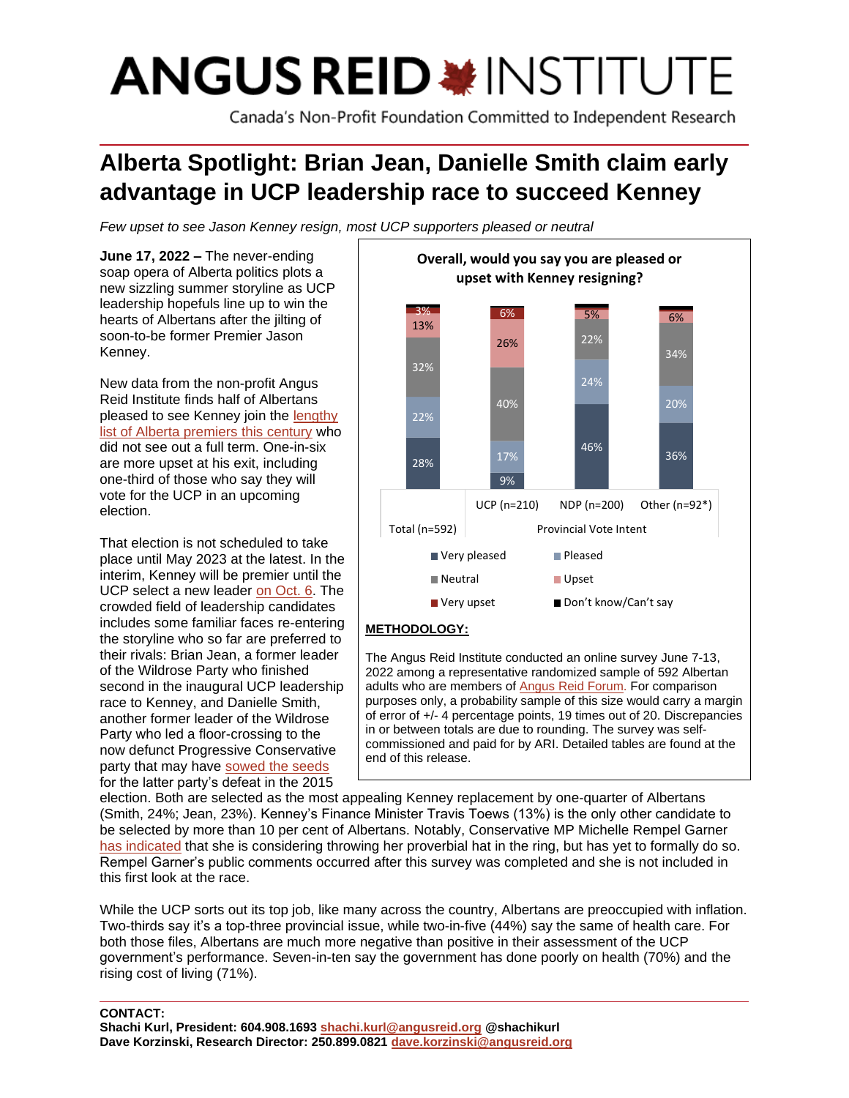# **ANGUS REID \*INSTITUTE**

Canada's Non-Profit Foundation Committed to Independent Research

# **Alberta Spotlight: Brian Jean, Danielle Smith claim early advantage in UCP leadership race to succeed Kenney**

*Few upset to see Jason Kenney resign, most UCP supporters pleased or neutral*

**June 17, 2022 –** The never-ending soap opera of Alberta politics plots a new sizzling summer storyline as UCP leadership hopefuls line up to win the hearts of Albertans after the jilting of soon-to-be former Premier Jason Kenney.

New data from the non-profit Angus Reid Institute finds half of Albertans pleased to see Kenney join the [lengthy](https://www.cbc.ca/news/canada/edmonton/jason-kenney-to-remain-as-premier-party-leader-until-new-ucp-leader-is-chosen-1.6459908)  list of Alberta [premiers this century](https://www.cbc.ca/news/canada/edmonton/jason-kenney-to-remain-as-premier-party-leader-until-new-ucp-leader-is-chosen-1.6459908) who did not see out a full term. One-in-six are more upset at his exit, including one-third of those who say they will vote for the UCP in an upcoming election.

That election is not scheduled to take place until May 2023 at the latest. In the interim, Kenney will be premier until the UCP select a new leader [on Oct. 6.](https://edmontonjournal.com/news/politics/ucp-leadership-race-rules) The crowded field of leadership candidates includes some familiar faces re-entering the storyline who so far are preferred to their rivals: Brian Jean, a former leader of the Wildrose Party who finished second in the inaugural UCP leadership race to Kenney, and Danielle Smith, another former leader of the Wildrose Party who led a floor-crossing to the now defunct Progressive Conservative party that may have [sowed the seeds](https://www.cbc.ca/news/canada/calgary/danielle-smith-says-wildrose-floor-crossing-not-sole-reason-for-alberta-pc-defeat-1.3063959) for the latter party's defeat in the 2015



# **METHODOLOGY:**

The Angus Reid Institute conducted an online survey June 7-13, 2022 among a representative randomized sample of 592 Albertan adults who are members o[f Angus](http://www.angusreidforum.com/) Reid Forum. For comparison purposes only, a probability sample of this size would carry a margin of error of +/- 4 percentage points, 19 times out of 20. Discrepancies in or between totals are due to rounding. The survey was selfcommissioned and paid for by ARI. Detailed tables are found at the end of this release.

election. Both are selected as the most appealing Kenney replacement by one-quarter of Albertans (Smith, 24%; Jean, 23%). Kenney's Finance Minister Travis Toews (13%) is the only other candidate to be selected by more than 10 per cent of Albertans. Notably, Conservative MP Michelle Rempel Garner [has indicated](https://www.cbc.ca/news/canada/calgary/michelle-rempel-garner-ucp-leadership-race-1.6490534) that she is considering throwing her proverbial hat in the ring, but has yet to formally do so. Rempel Garner's public comments occurred after this survey was completed and she is not included in this first look at the race.

While the UCP sorts out its top job, like many across the country, Albertans are preoccupied with inflation. Two-thirds say it's a top-three provincial issue, while two-in-five (44%) say the same of health care. For both those files, Albertans are much more negative than positive in their assessment of the UCP government's performance. Seven-in-ten say the government has done poorly on health (70%) and the rising cost of living (71%).

# **CONTACT:**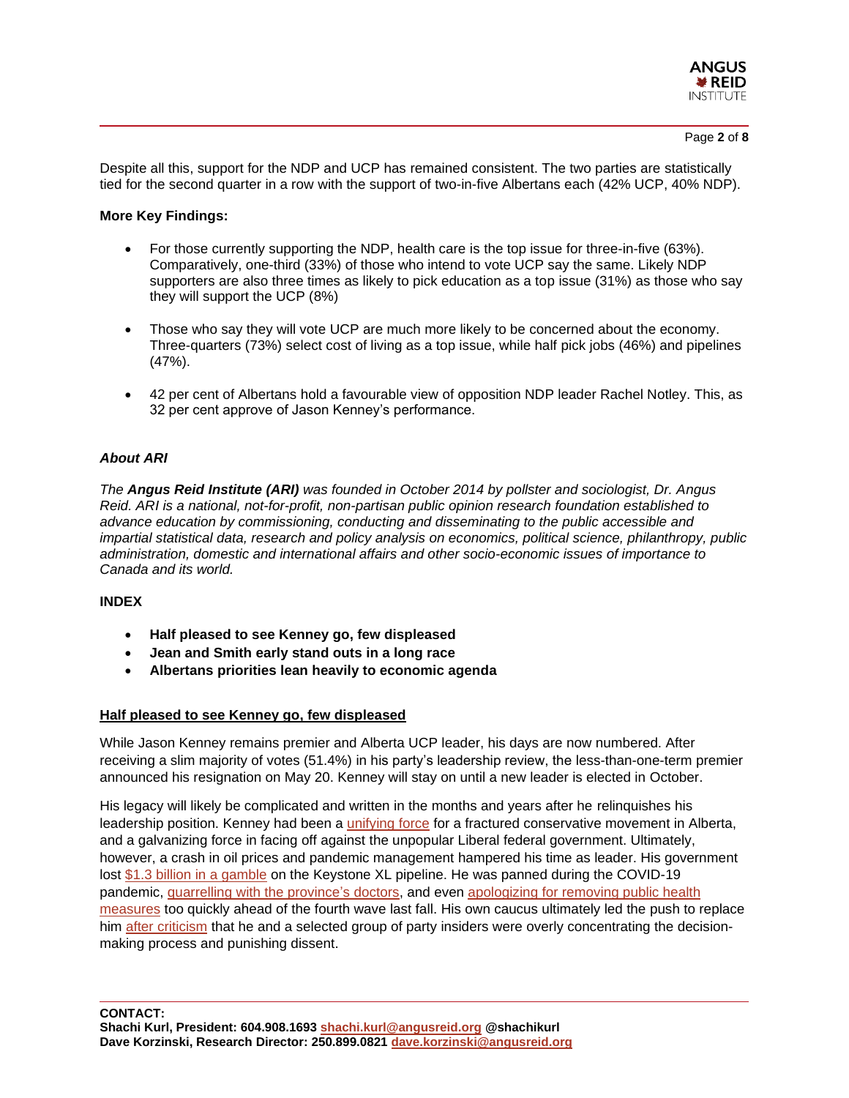

#### Page **2** of **8**

Despite all this, support for the NDP and UCP has remained consistent. The two parties are statistically tied for the second quarter in a row with the support of two-in-five Albertans each (42% UCP, 40% NDP).

### **More Key Findings:**

- For those currently supporting the NDP, health care is the top issue for three-in-five (63%). Comparatively, one-third (33%) of those who intend to vote UCP say the same. Likely NDP supporters are also three times as likely to pick education as a top issue (31%) as those who say they will support the UCP (8%)
- Those who say they will vote UCP are much more likely to be concerned about the economy. Three-quarters (73%) select cost of living as a top issue, while half pick jobs (46%) and pipelines (47%).
- 42 per cent of Albertans hold a favourable view of opposition NDP leader Rachel Notley. This, as 32 per cent approve of Jason Kenney's performance.

# *About ARI*

*The Angus Reid Institute (ARI) was founded in October 2014 by pollster and sociologist, Dr. Angus Reid. ARI is a national, not-for-profit, non-partisan public opinion research foundation established to advance education by commissioning, conducting and disseminating to the public accessible and impartial statistical data, research and policy analysis on economics, political science, philanthropy, public administration, domestic and international affairs and other socio-economic issues of importance to Canada and its world.*

# **INDEX**

- **Half pleased to see Kenney go, few displeased**
- **Jean and Smith early stand outs in a long race**
- **Albertans priorities lean heavily to economic agenda**

#### **Half pleased to see Kenney go, few displeased**

While Jason Kenney remains premier and Alberta UCP leader, his days are now numbered. After receiving a slim majority of votes (51.4%) in his party's leadership review, the less-than-one-term premier announced his resignation on May 20. Kenney will stay on until a new leader is elected in October.

His legacy will likely be complicated and written in the months and years after he relinquishes his leadership position. Kenney had been a [unifying force](https://www.cbc.ca/news/canada/edmonton/jason-kenney-resignation-ucp-alberta-1.6459124) for a fractured conservative movement in Alberta, and a galvanizing force in facing off against the unpopular Liberal federal government. Ultimately, however, a crash in oil prices and pandemic management hampered his time as leader. His government lost [\\$1.3 billion in a gamble](https://globalnews.ca/news/7939964/alberta-finance-minister-keystone-xl-loss/) on the Keystone XL pipeline. He was panned during the COVID-19 pandemic, [quarrelling with the province's doctors,](https://www.cbc.ca/news/canada/edmonton/jason-kenney-resignation-ucp-alberta-1.6459124) and even [apologizing for removing public health](https://globalnews.ca/video/8194562/we-were-wrong-jason-kenney-apologizes-for-move-to-covid-19-endemic-ahead-of-4th-wave)  [measures](https://globalnews.ca/video/8194562/we-were-wrong-jason-kenney-apologizes-for-move-to-covid-19-endemic-ahead-of-4th-wave) too quickly ahead of the fourth wave last fall. His own caucus ultimately led the push to replace him [after criticism](https://www.cbc.ca/news/canada/edmonton/jason-kenney-resignation-ucp-alberta-1.6459124) that he and a selected group of party insiders were overly concentrating the decisionmaking process and punishing dissent.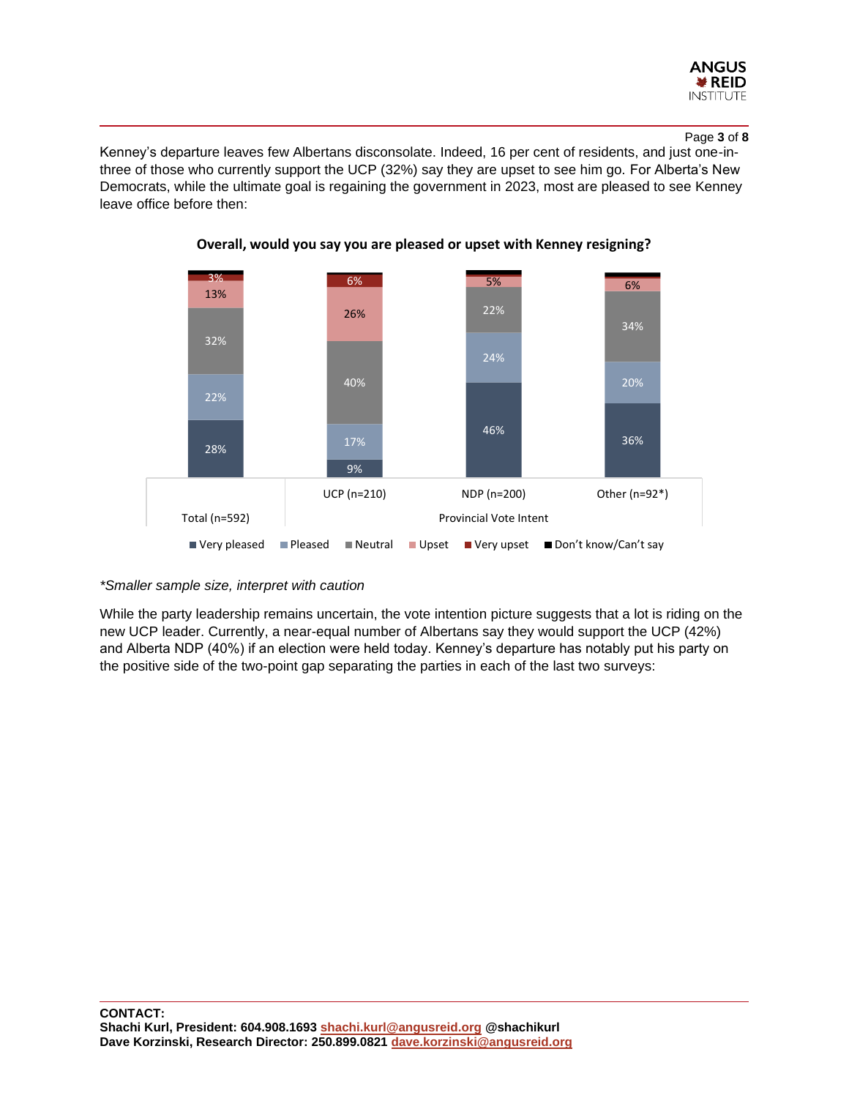

#### Page **3** of **8**

Kenney's departure leaves few Albertans disconsolate. Indeed, 16 per cent of residents, and just one-inthree of those who currently support the UCP (32%) say they are upset to see him go. For Alberta's New Democrats, while the ultimate goal is regaining the government in 2023, most are pleased to see Kenney leave office before then:





# *\*Smaller sample size, interpret with caution*

While the party leadership remains uncertain, the vote intention picture suggests that a lot is riding on the new UCP leader. Currently, a near-equal number of Albertans say they would support the UCP (42%) and Alberta NDP (40%) if an election were held today. Kenney's departure has notably put his party on the positive side of the two-point gap separating the parties in each of the last two surveys: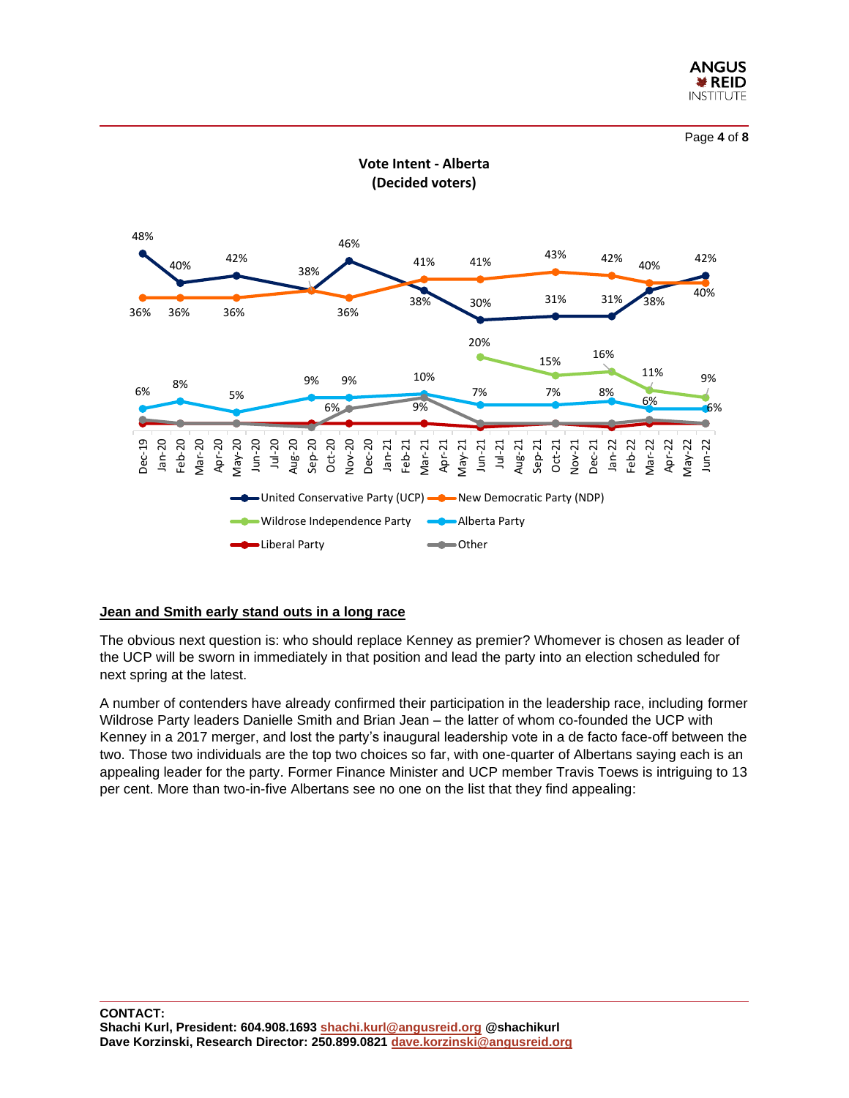



# Page **4** of **8**

# **Jean and Smith early stand outs in a long race**

The obvious next question is: who should replace Kenney as premier? Whomever is chosen as leader of the UCP will be sworn in immediately in that position and lead the party into an election scheduled for next spring at the latest.

A number of contenders have already confirmed their participation in the leadership race, including former Wildrose Party leaders Danielle Smith and Brian Jean – the latter of whom co-founded the UCP with Kenney in a 2017 merger, and lost the party's inaugural leadership vote in a de facto face-off between the two. Those two individuals are the top two choices so far, with one-quarter of Albertans saying each is an appealing leader for the party. Former Finance Minister and UCP member Travis Toews is intriguing to 13 per cent. More than two-in-five Albertans see no one on the list that they find appealing: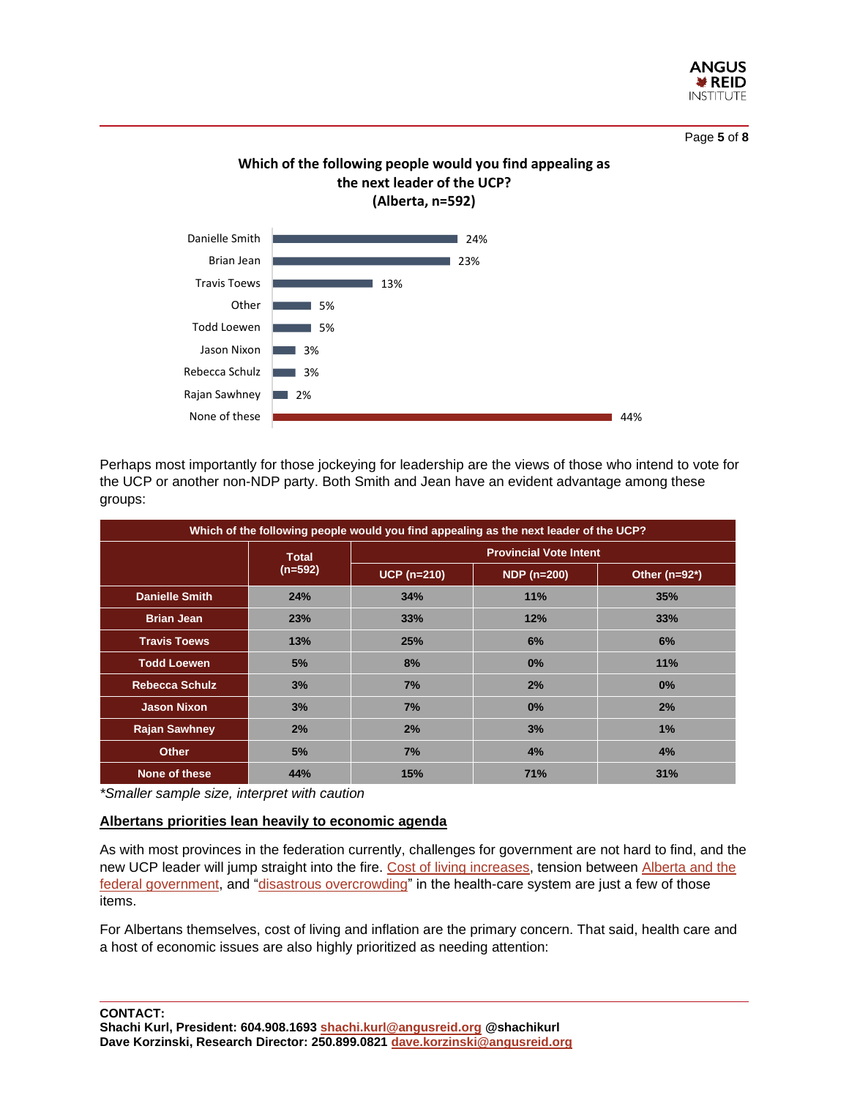

#### Page **5** of **8**

# **Which of the following people would you find appealing as the next leader of the UCP? (Alberta, n=592)**



Perhaps most importantly for those jockeying for leadership are the views of those who intend to vote for the UCP or another non-NDP party. Both Smith and Jean have an evident advantage among these groups:

| Which of the following people would you find appealing as the next leader of the UCP? |                           |                               |                    |               |  |  |  |
|---------------------------------------------------------------------------------------|---------------------------|-------------------------------|--------------------|---------------|--|--|--|
|                                                                                       | <b>Total</b><br>$(n=592)$ | <b>Provincial Vote Intent</b> |                    |               |  |  |  |
|                                                                                       |                           | $UCP(n=210)$                  | <b>NDP</b> (n=200) | Other (n=92*) |  |  |  |
| <b>Danielle Smith</b>                                                                 | 24%                       | 34%                           | 11%                | 35%           |  |  |  |
| <b>Brian Jean</b>                                                                     | 23%                       | 33%                           | 12%                | 33%           |  |  |  |
| <b>Travis Toews</b>                                                                   | 13%                       | 25%                           | 6%                 | 6%            |  |  |  |
| <b>Todd Loewen</b>                                                                    | 5%                        | 8%                            | $0\%$              | 11%           |  |  |  |
| <b>Rebecca Schulz</b>                                                                 | 3%                        | 7%                            | 2%                 | 0%            |  |  |  |
| <b>Jason Nixon</b>                                                                    | 3%                        | 7%                            | $0\%$              | 2%            |  |  |  |
| <b>Rajan Sawhney</b>                                                                  | 2%                        | 2%                            | 3%                 | 1%            |  |  |  |
| <b>Other</b>                                                                          | 5%                        | 7%                            | 4%                 | 4%            |  |  |  |
| None of these                                                                         | 44%                       | 15%                           | 71%                | 31%           |  |  |  |

*\*Smaller sample size, interpret with caution*

# **Albertans priorities lean heavily to economic agenda**

As with most provinces in the federation currently, challenges for government are not hard to find, and the new UCP leader will jump straight into the fire. [Cost of living increases,](https://www.cbc.ca/news/canada/calgary/wages-inflation-alberta-1.6471497#:~:text=Average%20weekly%20earnings%20in%20Alberta,per%20cent%2C%20the%20report%20said.) tension between [Alberta and the](https://torontosun.com/opinion/columnists/lilley-trudeau-ignores-albertas-concerns-but-placates-quebec)  [federal government,](https://torontosun.com/opinion/columnists/lilley-trudeau-ignores-albertas-concerns-but-placates-quebec) and ["disastrous overcrowding"](https://edmontonjournal.com/news/politics/disastrous-overcrowding-alberta-emergency-doctors-say-ers-facing-brunt-of-health-care-pressure) in the health-care system are just a few of those items.

For Albertans themselves, cost of living and inflation are the primary concern. That said, health care and a host of economic issues are also highly prioritized as needing attention: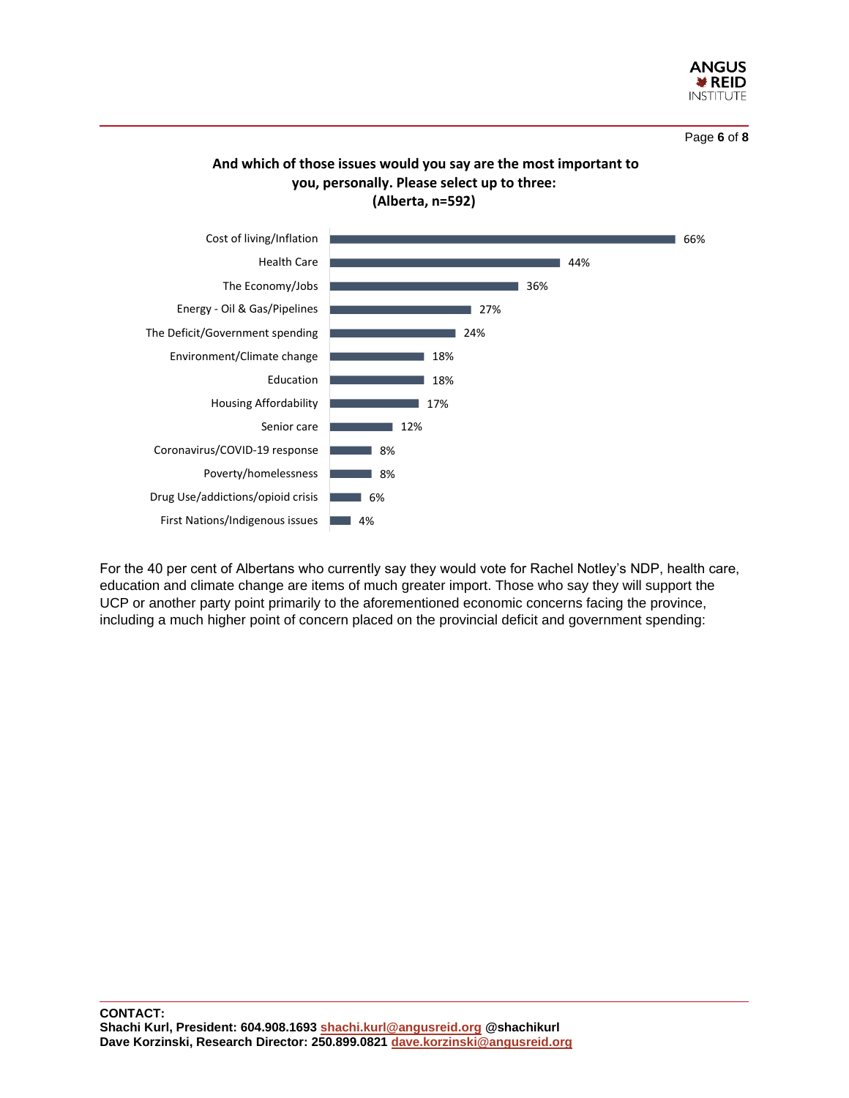

Page **6** of **8**

# **And which of those issues would you say are the most important to you, personally. Please select up to three: (Alberta, n=592)**



For the 40 per cent of Albertans who currently say they would vote for Rachel Notley's NDP, health care, education and climate change are items of much greater import. Those who say they will support the UCP or another party point primarily to the aforementioned economic concerns facing the province, including a much higher point of concern placed on the provincial deficit and government spending: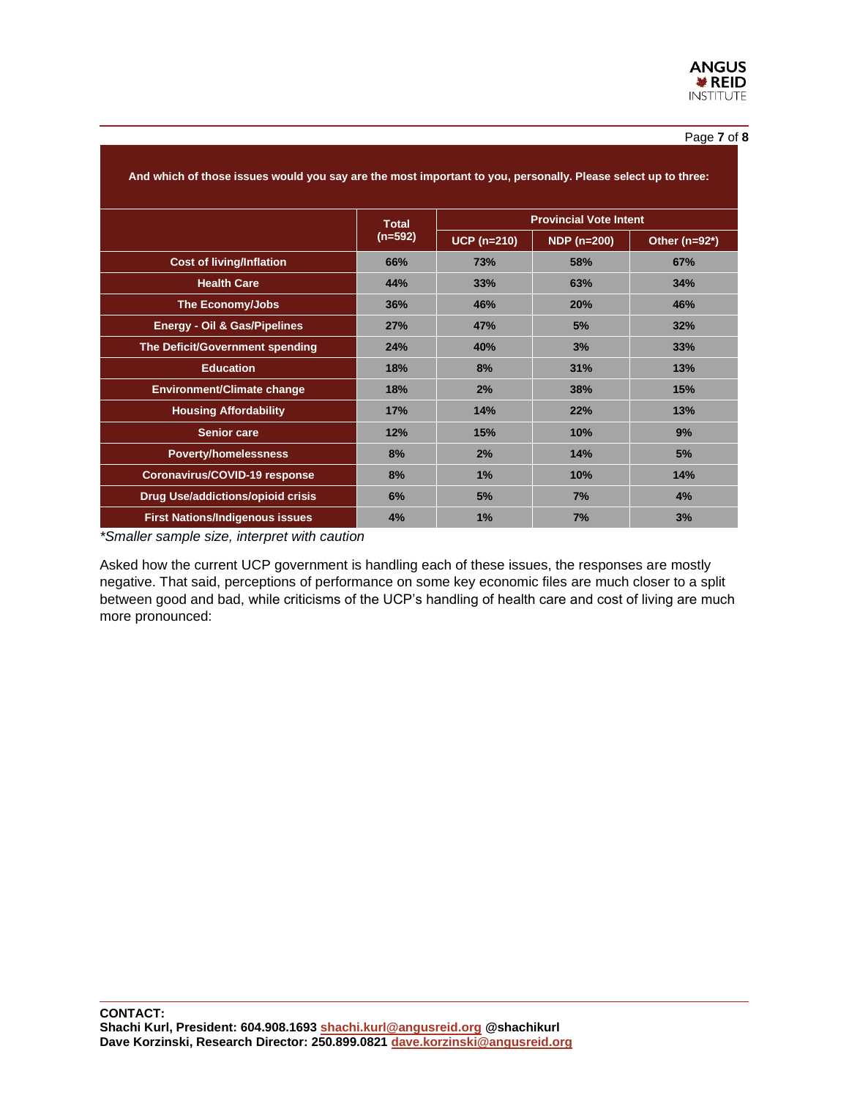# Page **7** of **8**

| And which of those issues would you say are the most important to you, personally. Please select up to three: |                         |                               |                    |                               |  |  |
|---------------------------------------------------------------------------------------------------------------|-------------------------|-------------------------------|--------------------|-------------------------------|--|--|
|                                                                                                               | <b>Total</b><br>(n=592) | <b>Provincial Vote Intent</b> |                    |                               |  |  |
|                                                                                                               |                         | <b>UCP (n=210)</b>            | <b>NDP (n=200)</b> | Other ( $n=92$ <sup>*</sup> ) |  |  |
| <b>Cost of living/Inflation</b>                                                                               | 66%                     | 73%                           | 58%                | 67%                           |  |  |
| <b>Health Care</b>                                                                                            | 44%                     | 33%                           | 63%                | 34%                           |  |  |
| <b>The Economy/Jobs</b>                                                                                       | 36%                     | 46%                           | 20%                | 46%                           |  |  |
| <b>Energy - Oil &amp; Gas/Pipelines</b>                                                                       | 27%                     | 47%                           | 5%                 | 32%                           |  |  |
| The Deficit/Government spending                                                                               | 24%                     | 40%                           | 3%                 | 33%                           |  |  |
| <b>Education</b>                                                                                              | 18%                     | 8%                            | 31%                | 13%                           |  |  |
| <b>Environment/Climate change</b>                                                                             | 18%                     | 2%                            | 38%                | 15%                           |  |  |
| <b>Housing Affordability</b>                                                                                  | 17%                     | 14%                           | 22%                | 13%                           |  |  |
| <b>Senior care</b>                                                                                            | 12%                     | 15%                           | 10%                | 9%                            |  |  |
| <b>Poverty/homelessness</b>                                                                                   | 8%                      | 2%                            | 14%                | 5%                            |  |  |
| <b>Coronavirus/COVID-19 response</b>                                                                          | 8%                      | 1%                            | 10%                | 14%                           |  |  |
| <b>Drug Use/addictions/opioid crisis</b>                                                                      | 6%                      | 5%                            | 7%                 | 4%                            |  |  |
| <b>First Nations/Indigenous issues</b>                                                                        | 4%                      | 1%                            | 7%                 | 3%                            |  |  |

*\*Smaller sample size, interpret with caution*

Asked how the current UCP government is handling each of these issues, the responses are mostly negative. That said, perceptions of performance on some key economic files are much closer to a split between good and bad, while criticisms of the UCP's handling of health care and cost of living are much more pronounced: